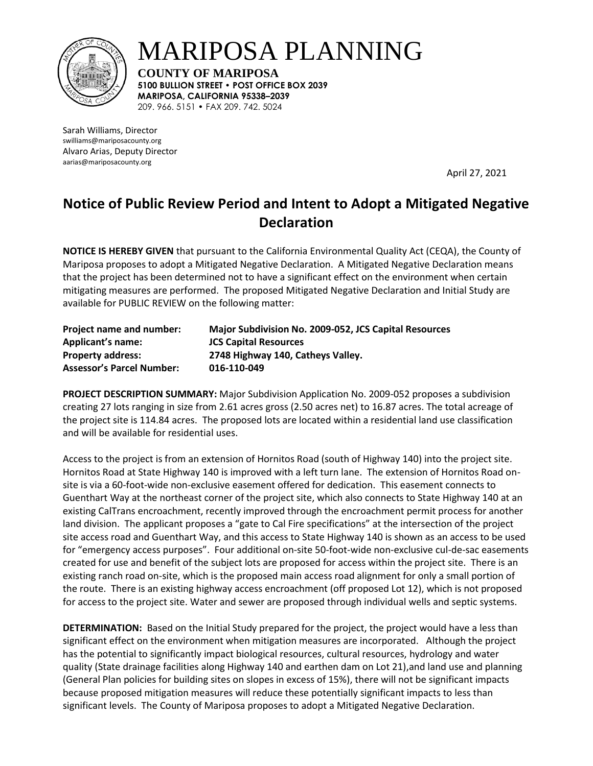

MARIPOSA PLANNING

**COUNTY OF MARIPOSA 5100 BULLION STREET • POST OFFICE BOX 2039 MARIPOSA, CALIFORNIA 95338–2039**  209. 966. 5151 • FAX 209. 742. 5024

Sarah Williams, Director swilliams@mariposacounty.org Alvaro Arias, Deputy Director aarias@mariposacounty.org

April 27, 2021

## **Notice of Public Review Period and Intent to Adopt a Mitigated Negative Declaration**

**NOTICE IS HEREBY GIVEN** that pursuant to the California Environmental Quality Act (CEQA), the County of Mariposa proposes to adopt a Mitigated Negative Declaration. A Mitigated Negative Declaration means that the project has been determined not to have a significant effect on the environment when certain mitigating measures are performed. The proposed Mitigated Negative Declaration and Initial Study are available for PUBLIC REVIEW on the following matter:

| Project name and number:         | Major Subdivision No. 2009-052, JCS Capital Resources |
|----------------------------------|-------------------------------------------------------|
| <b>Applicant's name:</b>         | <b>JCS Capital Resources</b>                          |
| <b>Property address:</b>         | 2748 Highway 140, Catheys Valley.                     |
| <b>Assessor's Parcel Number:</b> | 016-110-049                                           |

**PROJECT DESCRIPTION SUMMARY:** Major Subdivision Application No. 2009-052 proposes a subdivision creating 27 lots ranging in size from 2.61 acres gross (2.50 acres net) to 16.87 acres. The total acreage of the project site is 114.84 acres. The proposed lots are located within a residential land use classification and will be available for residential uses.

Access to the project is from an extension of Hornitos Road (south of Highway 140) into the project site. Hornitos Road at State Highway 140 is improved with a left turn lane. The extension of Hornitos Road onsite is via a 60-foot-wide non-exclusive easement offered for dedication. This easement connects to Guenthart Way at the northeast corner of the project site, which also connects to State Highway 140 at an existing CalTrans encroachment, recently improved through the encroachment permit process for another land division. The applicant proposes a "gate to Cal Fire specifications" at the intersection of the project site access road and Guenthart Way, and this access to State Highway 140 is shown as an access to be used for "emergency access purposes". Four additional on-site 50-foot-wide non-exclusive cul-de-sac easements created for use and benefit of the subject lots are proposed for access within the project site. There is an existing ranch road on-site, which is the proposed main access road alignment for only a small portion of the route. There is an existing highway access encroachment (off proposed Lot 12), which is not proposed for access to the project site. Water and sewer are proposed through individual wells and septic systems.

**DETERMINATION:** Based on the Initial Study prepared for the project, the project would have a less than significant effect on the environment when mitigation measures are incorporated. Although the project has the potential to significantly impact biological resources, cultural resources, hydrology and water quality (State drainage facilities along Highway 140 and earthen dam on Lot 21),and land use and planning (General Plan policies for building sites on slopes in excess of 15%), there will not be significant impacts because proposed mitigation measures will reduce these potentially significant impacts to less than significant levels. The County of Mariposa proposes to adopt a Mitigated Negative Declaration.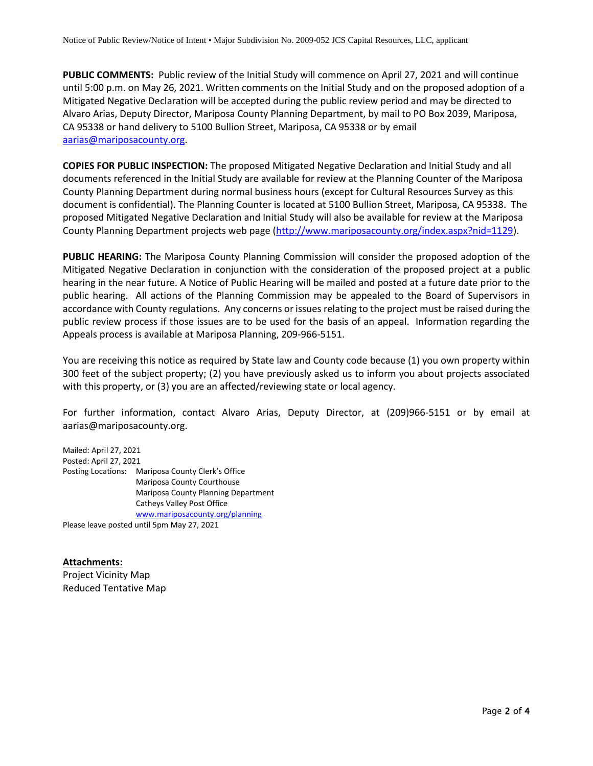**PUBLIC COMMENTS:** Public review of the Initial Study will commence on April 27, 2021 and will continue until 5:00 p.m. on May 26, 2021. Written comments on the Initial Study and on the proposed adoption of a Mitigated Negative Declaration will be accepted during the public review period and may be directed to Alvaro Arias, Deputy Director, Mariposa County Planning Department, by mail to PO Box 2039, Mariposa, CA 95338 or hand delivery to 5100 Bullion Street, Mariposa, CA 95338 or by email [aarias@mariposacounty.org.](mailto:aarias@mariposacounty.org)

**COPIES FOR PUBLIC INSPECTION:** The proposed Mitigated Negative Declaration and Initial Study and all documents referenced in the Initial Study are available for review at the Planning Counter of the Mariposa County Planning Department during normal business hours (except for Cultural Resources Survey as this document is confidential). The Planning Counter is located at 5100 Bullion Street, Mariposa, CA 95338. The proposed Mitigated Negative Declaration and Initial Study will also be available for review at the Mariposa County Planning Department projects web page [\(http://www.mariposacounty.org/index.aspx?nid=1129\)](http://www.mariposacounty.org/index.aspx?nid=1129).

**PUBLIC HEARING:** The Mariposa County Planning Commission will consider the proposed adoption of the Mitigated Negative Declaration in conjunction with the consideration of the proposed project at a public hearing in the near future. A Notice of Public Hearing will be mailed and posted at a future date prior to the public hearing. All actions of the Planning Commission may be appealed to the Board of Supervisors in accordance with County regulations. Any concerns or issues relating to the project must be raised during the public review process if those issues are to be used for the basis of an appeal. Information regarding the Appeals process is available at Mariposa Planning, 209-966-5151.

You are receiving this notice as required by State law and County code because (1) you own property within 300 feet of the subject property; (2) you have previously asked us to inform you about projects associated with this property, or (3) you are an affected/reviewing state or local agency.

For further information, contact Alvaro Arias, Deputy Director, at (209)966-5151 or by email at aarias@mariposacounty.org.

Mailed: April 27, 2021 Posted: April 27, 2021 Posting Locations: Mariposa County Clerk's Office Mariposa County Courthouse Mariposa County Planning Department Catheys Valley Post Office [www.mariposacounty.org/planning](http://www.mariposacounty.org/planning)

Please leave posted until 5pm May 27, 2021

**Attachments:** Project Vicinity Map Reduced Tentative Map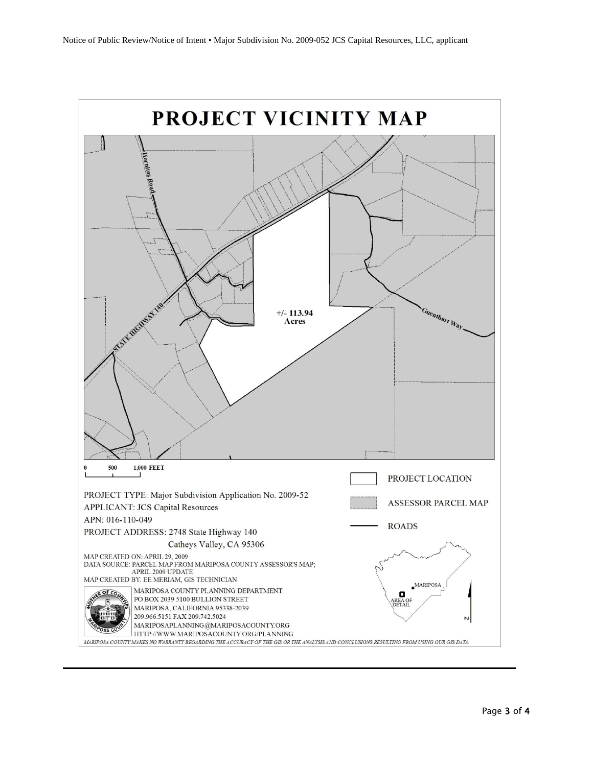